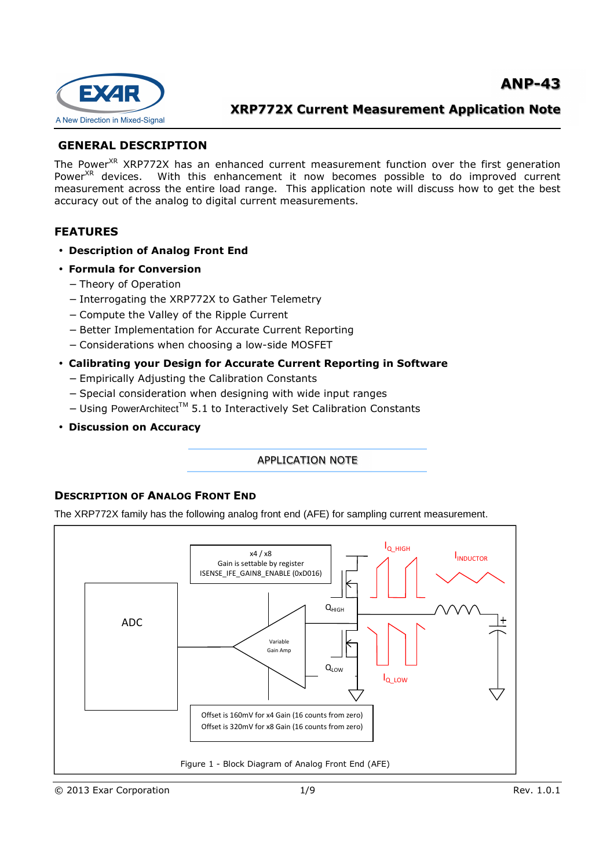

# **GENERAL DESCRIPTION**

The Power<sup>XR</sup> XRP772X has an enhanced current measurement function over the first generation Power<sup>XR</sup> devices. With this enhancement it now becomes possible to do improved current measurement across the entire load range. This application note will discuss how to get the best accuracy out of the analog to digital current measurements.

## **FEATURES**

- **Description of Analog Front End**
- **Formula for Conversion** 
	- − Theory of Operation
	- − Interrogating the XRP772X to Gather Telemetry
	- − Compute the Valley of the Ripple Current
	- − Better Implementation for Accurate Current Reporting
	- − Considerations when choosing a low-side MOSFET
- **Calibrating your Design for Accurate Current Reporting in Software** 
	- − Empirically Adjusting the Calibration Constants
	- − Special consideration when designing with wide input ranges
	- − Using PowerArchitectTM 5.1 to Interactively Set Calibration Constants
- **Discussion on Accuracy**

APPLICATION NOTE

## **DESCRIPTION OF ANALOG FRONT END**

The XRP772X family has the following analog front end (AFE) for sampling current measurement.

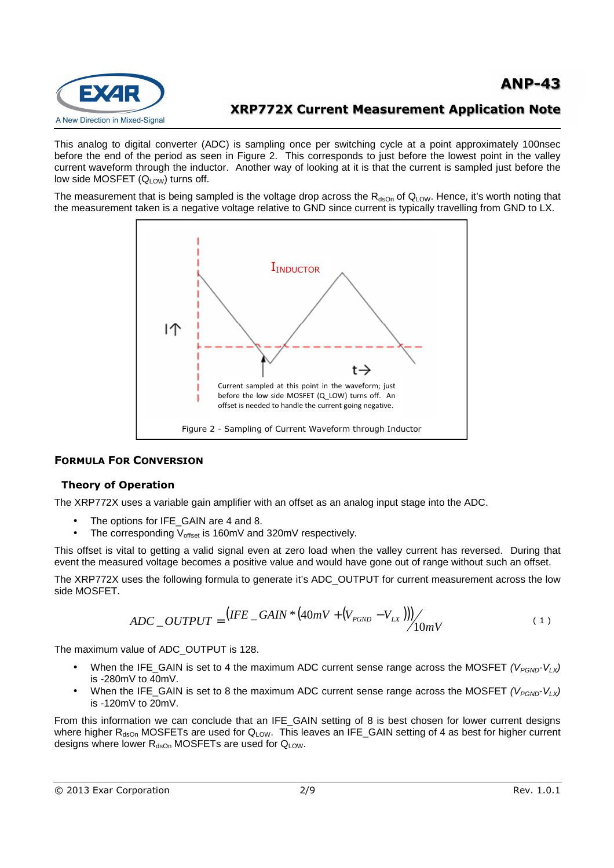

This analog to digital converter (ADC) is sampling once per switching cycle at a point approximately 100nsec before the end of the period as seen in Figure 2. This corresponds to just before the lowest point in the valley current waveform through the inductor. Another way of looking at it is that the current is sampled just before the low side MOSFET  $(Q_{LOW})$  turns off.

The measurement that is being sampled is the voltage drop across the  $R_{dsOn}$  of  $Q_{LOW}$ . Hence, it's worth noting that the measurement taken is a negative voltage relative to GND since current is typically travelling from GND to LX.



### **FORMULA FOR CONVERSION**

### **Theory of Operation**

The XRP772X uses a variable gain amplifier with an offset as an analog input stage into the ADC.

- The options for IFE\_GAIN are 4 and 8.
- The corresponding V<sub>offset</sub> is 160mV and 320mV respectively.

This offset is vital to getting a valid signal even at zero load when the valley current has reversed. During that event the measured voltage becomes a positive value and would have gone out of range without such an offset.

The XRP772X uses the following formula to generate it's ADC\_OUTPUT for current measurement across the low side MOSFET.

$$
ADC\_OUTPUT = (IFE\_GAIN * (40mV + (V_{PGND} - V_{LX}))) / \frac{10mV}{10mV}
$$
 (1)

The maximum value of ADC\_OUTPUT is 128.

- When the IFE GAIN is set to 4 the maximum ADC current sense range across the MOSFET ( $V_{PGND}$ - $V_{l}$ ) is -280mV to 40mV.
- When the IFE\_GAIN is set to 8 the maximum ADC current sense range across the MOSFET ( $V_{PGND}V_{LX}$ ) is -120mV to 20mV.

From this information we can conclude that an IFE\_GAIN setting of 8 is best chosen for lower current designs where higher  $R_{\text{dso}}$  MOSFETs are used for  $Q_{\text{LOW}}$ . This leaves an IFE\_GAIN setting of 4 as best for higher current designs where lower  $R_{dsOn}$  MOSFETs are used for  $Q_{LOW}$ .

```
© 2013 Exar Corporation 2/9 Rev. 1.0.1
```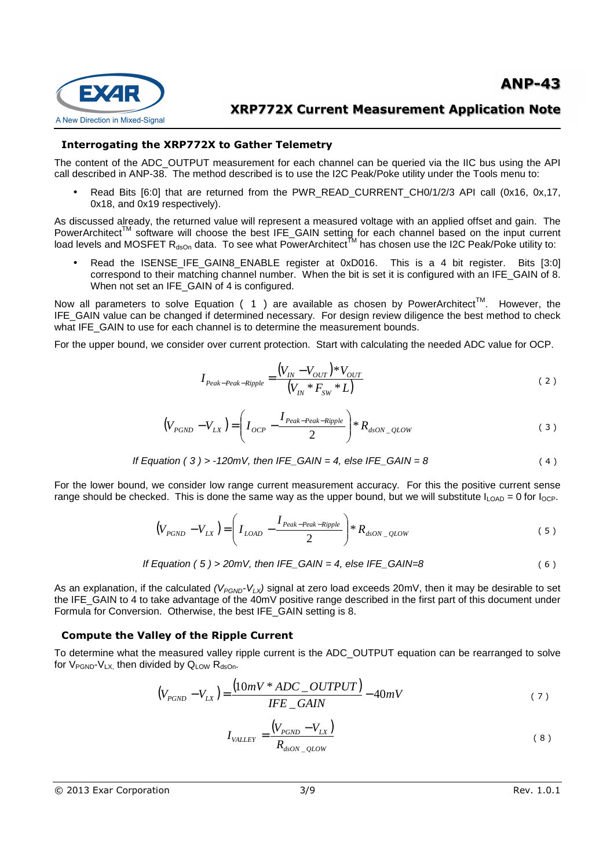

### **Interrogating the XRP772X to Gather Telemetry**

The content of the ADC\_OUTPUT measurement for each channel can be queried via the IIC bus using the API call described in ANP-38. The method described is to use the I2C Peak/Poke utility under the Tools menu to:

• Read Bits [6:0] that are returned from the PWR\_READ\_CURRENT\_CH0/1/2/3 API call (0x16, 0x,17, 0x18, and 0x19 respectively).

As discussed already, the returned value will represent a measured voltage with an applied offset and gain. The PowerArchitect™ software will choose the best IFE\_GAIN setting for each channel based on the input current load levels and MOSFET R<sub>dsOn</sub> data. To see what PowerArchitect<sup>tM</sup> has chosen use the I2C Peak/Poke utility to:

• Read the ISENSE\_IFE\_GAIN8\_ENABLE register at 0xD016. This is a 4 bit register. Bits [3:0] correspond to their matching channel number. When the bit is set it is configured with an IFE\_GAIN of 8. When not set an IFE\_GAIN of 4 is configured.

Now all parameters to solve Equation ( 1 ) are available as chosen by PowerArchitect<sup>TM</sup>. However, the IFE\_GAIN value can be changed if determined necessary. For design review diligence the best method to check what IFE\_GAIN to use for each channel is to determine the measurement bounds.

For the upper bound, we consider over current protection. Start with calculating the needed ADC value for OCP.

$$
I_{Peak-Peak-Ripple} = \frac{(V_{IN} - V_{OUT}) * V_{OUT}}{(V_{IN} * F_{SW} * L)}
$$
(2)

$$
\left(V_{PGND} - V_{LX}\right) = \left(I_{OCP} - \frac{I_{Peak-Peak-Ripple}}{2}\right) * R_{dSON\_QLOW}
$$
\n(3)

If Equation (3) > -120mV, then IFE\_GAIN = 4, else IFE\_GAIN = 8\n
$$
(4)
$$

For the lower bound, we consider low range current measurement accuracy. For this the positive current sense range should be checked. This is done the same way as the upper bound, but we will substitute  $I_{\text{LOAD}} = 0$  for  $I_{\text{OCP}}$ .

$$
\left(V_{PGND} - V_{LX}\right) = \left(I_{LOAD} - \frac{I_{Peak-Peak-Ripple}}{2}\right) * R_{dsON\_{QUOW}}
$$
\n<sup>(5)</sup>

If Equation (5) > 20mV, then IFE\_GAIN = 4, else IFE\_GAIN = 8\n
$$
(6)
$$

As an explanation, if the calculated  $(V_{PGND}V_{LX})$  signal at zero load exceeds 20mV, then it may be desirable to set the IFE\_GAIN to 4 to take advantage of the 40mV positive range described in the first part of this document under Formula for Conversion. Otherwise, the best IFE\_GAIN setting is 8.

### **Compute the Valley of the Ripple Current**

To determine what the measured valley ripple current is the ADC\_OUTPUT equation can be rearranged to solve for  $V_{\text{PGND}}-V_{\text{L}X}$ , then divided by  $Q_{\text{LOW}}$   $R_{\text{dso}}$ .

$$
(V_{PGND} - V_{LX}) = \frac{(10mV * ADC\_OUTPUT)}{IFE\_GAN} - 40mV
$$
\n(7)

$$
I_{\text{VALLEY}} = \frac{\left(V_{PGND} - V_{LX}\right)}{R_{d sON\_QLOW}}
$$
\n(8)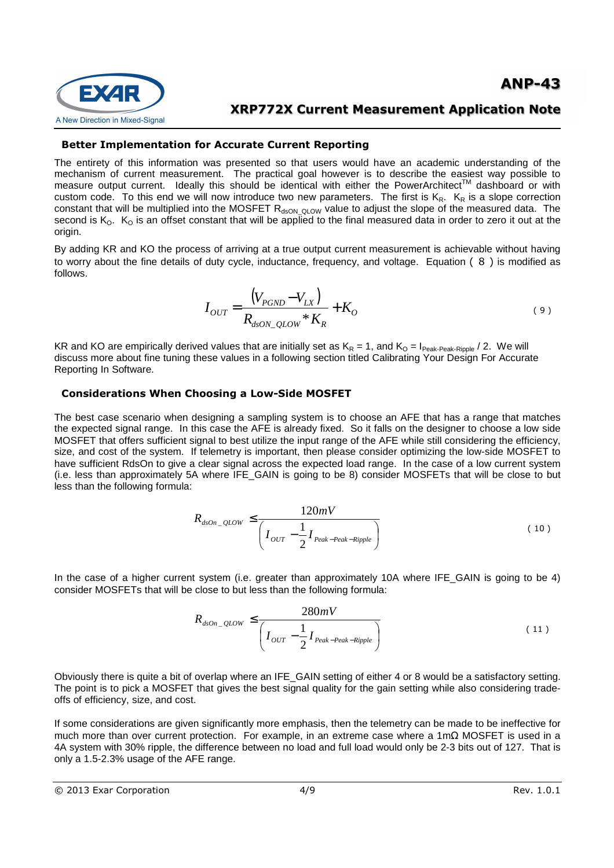



### **Better Implementation for Accurate Current Reporting**

The entirety of this information was presented so that users would have an academic understanding of the mechanism of current measurement. The practical goal however is to describe the easiest way possible to measure output current. Ideally this should be identical with either the PowerArchitect™ dashboard or with custom code. To this end we will now introduce two new parameters. The first is  $K_R$ .  $K_R$  is a slope correction constant that will be multiplied into the MOSFET R<sub>dsON\_QLOW</sub> value to adjust the slope of the measured data. The second is  $K_0$ .  $K_0$  is an offset constant that will be applied to the final measured data in order to zero it out at the origin.

By adding KR and KO the process of arriving at a true output current measurement is achievable without having to worry about the fine details of duty cycle, inductance, frequency, and voltage. Equation ( 8 ) is modified as follows.

$$
I_{OUT} = \frac{(V_{PGND} - V_{LX})}{R_{dSON\_QLOW} * K_R} + K_O
$$
 (9)

KR and KO are empirically derived values that are initially set as  $K_R = 1$ , and  $K_Q = I_{Peak\text{-Peak-Ripple}} / 2$ . We will discuss more about fine tuning these values in a following section titled Calibrating Your Design For Accurate Reporting In Software.

#### **Considerations When Choosing a Low-Side MOSFET**

The best case scenario when designing a sampling system is to choose an AFE that has a range that matches the expected signal range. In this case the AFE is already fixed. So it falls on the designer to choose a low side MOSFET that offers sufficient signal to best utilize the input range of the AFE while still considering the efficiency, size, and cost of the system. If telemetry is important, then please consider optimizing the low-side MOSFET to have sufficient RdsOn to give a clear signal across the expected load range. In the case of a low current system (i.e. less than approximately 5A where IFE\_GAIN is going to be 8) consider MOSFETs that will be close to but less than the following formula:

$$
R_{dson\_QLOW} \le \frac{120mV}{\left(I_{OUT} - \frac{1}{2}I_{Peak-Peak-Ripple}\right)}
$$
(10)

In the case of a higher current system (i.e. greater than approximately 10A where IFE\_GAIN is going to be 4) consider MOSFETs that will be close to but less than the following formula:

$$
R_{dson\_QLOW} \le \frac{280mV}{\left(I_{OUT} - \frac{1}{2}I_{Peak-Peak-Ripple}\right)}
$$
(11)

Obviously there is quite a bit of overlap where an IFE\_GAIN setting of either 4 or 8 would be a satisfactory setting. The point is to pick a MOSFET that gives the best signal quality for the gain setting while also considering tradeoffs of efficiency, size, and cost.

If some considerations are given significantly more emphasis, then the telemetry can be made to be ineffective for much more than over current protection. For example, in an extreme case where a 1mΩ MOSFET is used in a 4A system with 30% ripple, the difference between no load and full load would only be 2-3 bits out of 127. That is only a 1.5-2.3% usage of the AFE range.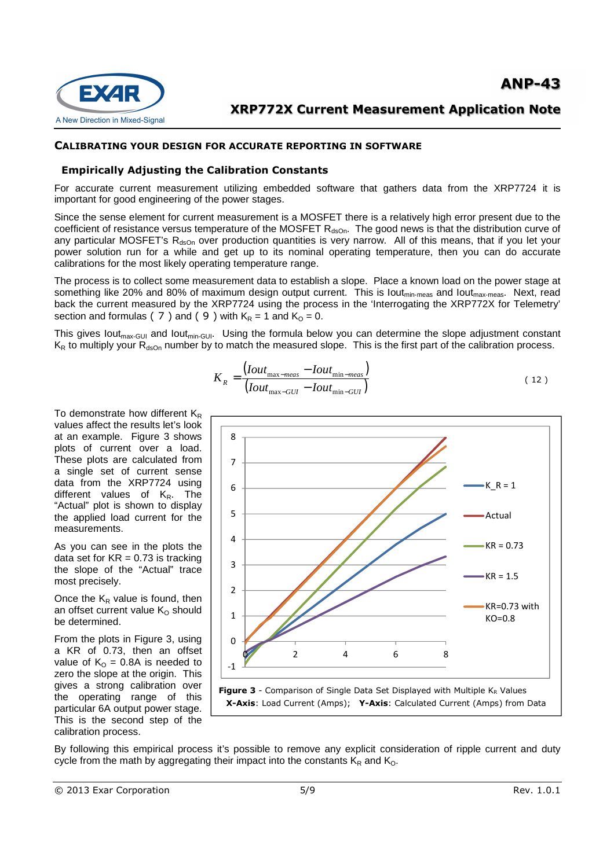



#### **CALIBRATING YOUR DESIGN FOR ACCURATE REPORTING IN SOFTWARE**

#### **Empirically Adjusting the Calibration Constants**

For accurate current measurement utilizing embedded software that gathers data from the XRP7724 it is important for good engineering of the power stages.

Since the sense element for current measurement is a MOSFET there is a relatively high error present due to the coefficient of resistance versus temperature of the MOSFET  $R_{dSDn}$ . The good news is that the distribution curve of any particular MOSFET's  $R_{dsOn}$  over production quantities is very narrow. All of this means, that if you let your power solution run for a while and get up to its nominal operating temperature, then you can do accurate calibrations for the most likely operating temperature range.

The process is to collect some measurement data to establish a slope. Place a known load on the power stage at something like 20% and 80% of maximum design output current. This is lout<sub>min-meas</sub> and lout<sub>max-meas</sub>. Next, read back the current measured by the XRP7724 using the process in the 'Interrogating the XRP772X for Telemetry' section and formulas ( $7$ ) and ( $9$ ) with  $K_R = 1$  and  $K_Q = 0$ .

This gives lout<sub>max-GUI</sub> and lout<sub>min-GUI</sub>. Using the formula below you can determine the slope adjustment constant  $K_R$  to multiply your  $R_{\text{dso}}$  number by to match the measured slope. This is the first part of the calibration process.

$$
K_R = \frac{(Iout_{\text{max}-meas} - Iout_{\text{min}-meas})}{(Iout_{\text{max}-GUI} - Iout_{\text{min}-GUI})}
$$
(12)

To demonstrate how different  $K_R$ values affect the results let's look at an example. Figure 3 shows plots of current over a load. These plots are calculated from a single set of current sense data from the XRP7724 using different values of  $K_R$ . The "Actual" plot is shown to display the applied load current for the measurements.

As you can see in the plots the data set for  $KR = 0.73$  is tracking the slope of the "Actual" trace most precisely.

Once the  $K_R$  value is found, then an offset current value  $K<sub>O</sub>$  should be determined.

From the plots in Figure 3, using a KR of 0.73, then an offset value of  $K_0 = 0.8$ A is needed to zero the slope at the origin. This gives a strong calibration over the operating range of this particular 6A output power stage. This is the second step of the calibration process.



By following this empirical process it's possible to remove any explicit consideration of ripple current and duty cycle from the math by aggregating their impact into the constants  $K_R$  and  $K_Q$ .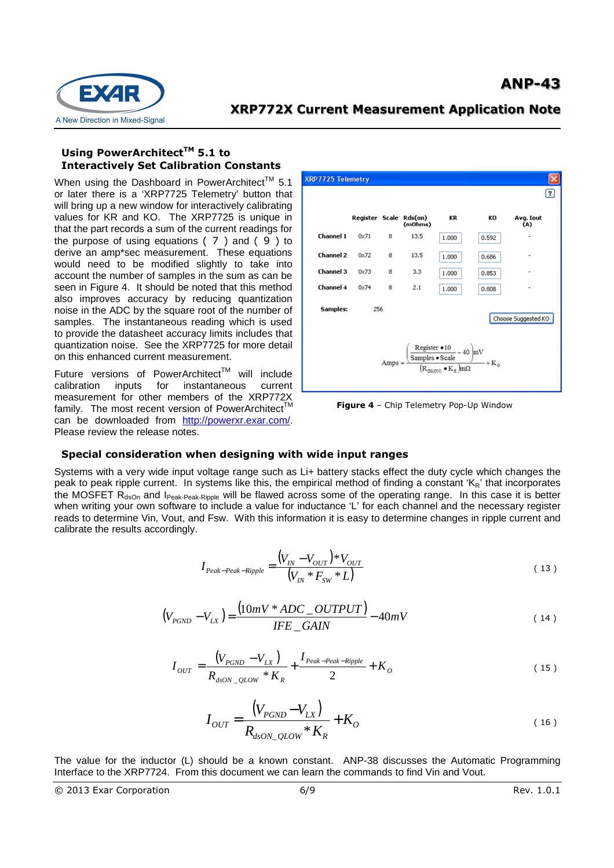

### **Using PowerArchitectTM 5.1 to Interactively Set Calibration Constants**

When using the Dashboard in PowerArchitect<sup>TM</sup> 5.1 or later there is a 'XRP7725 Telemetry' button that will bring up a new window for interactively calibrating values for KR and KO. The XRP7725 is unique in that the part records a sum of the current readings for the purpose of using equations ( 7 ) and ( 9 ) to derive an amp\*sec measurement. These equations would need to be modified slightly to take into account the number of samples in the sum as can be seen in Figure 4. It should be noted that this method also improves accuracy by reducing quantization noise in the ADC by the square root of the number of samples. The instantaneous reading which is used to provide the datasheet accuracy limits includes that quantization noise. See the XRP7725 for more detail on this enhanced current measurement.

Future versions of PowerArchitect<sup>™</sup> will include calibration inputs for instantaneous current measurement for other members of the XRP772X family. The most recent version of PowerArchitect<sup>TM</sup> can be downloaded from http://powerxr.exar.com/. Please review the release notes.



**Figure 4** – Chip Telemetry Pop-Up Window

### **Special consideration when designing with wide input ranges**

Systems with a very wide input voltage range such as Li+ battery stacks effect the duty cycle which changes the peak to peak ripple current. In systems like this, the empirical method of finding a constant 'KR' that incorporates the MOSFET  $R_{dsOn}$  and I<sub>Peak-Peak-Ripple</sub> will be flawed across some of the operating range. In this case it is better when writing your own software to include a value for inductance 'L' for each channel and the necessary register reads to determine Vin, Vout, and Fsw. With this information it is easy to determine changes in ripple current and calibrate the results accordingly.

$$
I_{\text{Peak-Peak-Ripple}} = \frac{(V_{IN} - V_{OUT}) * V_{OUT}}{(V_{IN} * F_{SW} * L)}
$$
(13)

$$
(V_{PGND} - V_{LX}) = \frac{(10mV * ADC\_OUTPUT)}{IFE\_GAIN} - 40mV
$$
\n(14)

$$
I_{OUT} = \frac{(V_{PGND} - V_{LX})}{R_{dsON\_QLOW} * K_R} + \frac{I_{Peak-Peak-Ripple}}{2} + K_O
$$
 (15)

$$
I_{OUT} = \frac{(V_{PGND} - V_{LX})}{R_{dSON\_QLOW} * K_R} + K_O
$$
 (16)

The value for the inductor (L) should be a known constant. ANP-38 discusses the Automatic Programming Interface to the XRP7724. From this document we can learn the commands to find Vin and Vout.

 $\odot$  2013 Exar Corporation  $6/9$   $6/9$  Rev. 1.0.1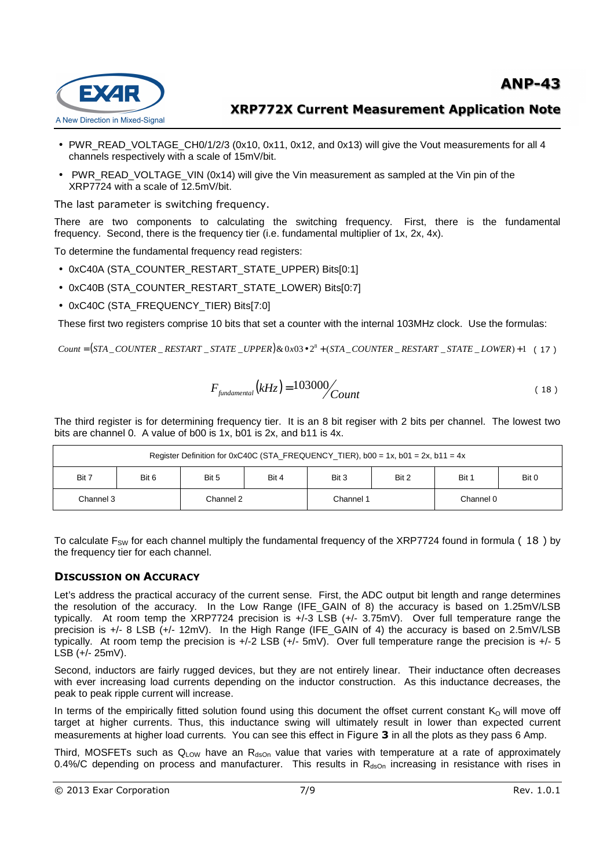

- PWR\_READ\_VOLTAGE\_CH0/1/2/3 (0x10, 0x11, 0x12, and 0x13) will give the Vout measurements for all 4 channels respectively with a scale of 15mV/bit.
- PWR\_READ\_VOLTAGE\_VIN (0x14) will give the Vin measurement as sampled at the Vin pin of the XRP7724 with a scale of 12.5mV/bit.

The last parameter is switching frequency.

**EXAR** 

A New Direction in Mixed-Signal

There are two components to calculating the switching frequency. First, there is the fundamental frequency. Second, there is the frequency tier (i.e. fundamental multiplier of 1x, 2x, 4x).

To determine the fundamental frequency read registers:

- 0xC40A (STA\_COUNTER\_RESTART\_STATE\_UPPER) Bits[0:1]
- 0xC40B (STA\_COUNTER\_RESTART\_STATE\_LOWER) Bits[0:7]
- 0xC40C (STA\_FREQUENCY\_TIER) Bits[7:0]

These first two registers comprise 10 bits that set a counter with the internal 103MHz clock. Use the formulas:

 $Count = (STA\_COUNTER\_RESTART\_STATE\_UPPER) \& 0x03 \cdot 2^8 + (STA\_COUNTER\_RESTART\_STATE\_LOWER) + 1$  (17)

$$
F_{\text{fundamental}}(kHz) = 103000 \Big/ \t\t(18)
$$

The third register is for determining frequency tier. It is an 8 bit regiser with 2 bits per channel. The lowest two bits are channel 0. A value of b00 is 1x, b01 is 2x, and b11 is 4x.

| Register Definition for 0xC40C (STA_FREQUENCY_TIER), b00 = 1x, b01 = 2x, b11 = 4x |       |           |       |           |       |           |       |  |  |
|-----------------------------------------------------------------------------------|-------|-----------|-------|-----------|-------|-----------|-------|--|--|
| Bit 7                                                                             | Bit 6 | Bit 5     | Bit 4 | Bit 3     | Bit 2 | Bit 1     | Bit 0 |  |  |
| Channel 3                                                                         |       | Channel 2 |       | Channel 1 |       | Channel 0 |       |  |  |

To calculate  $F_{SW}$  for each channel multiply the fundamental frequency of the XRP7724 found in formula (18) by the frequency tier for each channel.

### **DISCUSSION ON ACCURACY**

Let's address the practical accuracy of the current sense. First, the ADC output bit length and range determines the resolution of the accuracy. In the Low Range (IFE\_GAIN of 8) the accuracy is based on 1.25mV/LSB typically. At room temp the XRP7724 precision is +/-3 LSB (+/- 3.75mV). Over full temperature range the precision is +/- 8 LSB (+/- 12mV). In the High Range (IFE\_GAIN of 4) the accuracy is based on 2.5mV/LSB typically. At room temp the precision is +/-2 LSB (+/- 5mV). Over full temperature range the precision is +/- 5 LSB (+/- 25mV).

Second, inductors are fairly rugged devices, but they are not entirely linear. Their inductance often decreases with ever increasing load currents depending on the inductor construction. As this inductance decreases, the peak to peak ripple current will increase.

In terms of the empirically fitted solution found using this document the offset current constant  $K_0$  will move off target at higher currents. Thus, this inductance swing will ultimately result in lower than expected current measurements at higher load currents. You can see this effect in Figure **3** in all the plots as they pass 6 Amp.

Third, MOSFETs such as  $Q_{LOW}$  have an  $R_{dSDn}$  value that varies with temperature at a rate of approximately 0.4%/C depending on process and manufacturer. This results in  $R_{dSDn}$  increasing in resistance with rises in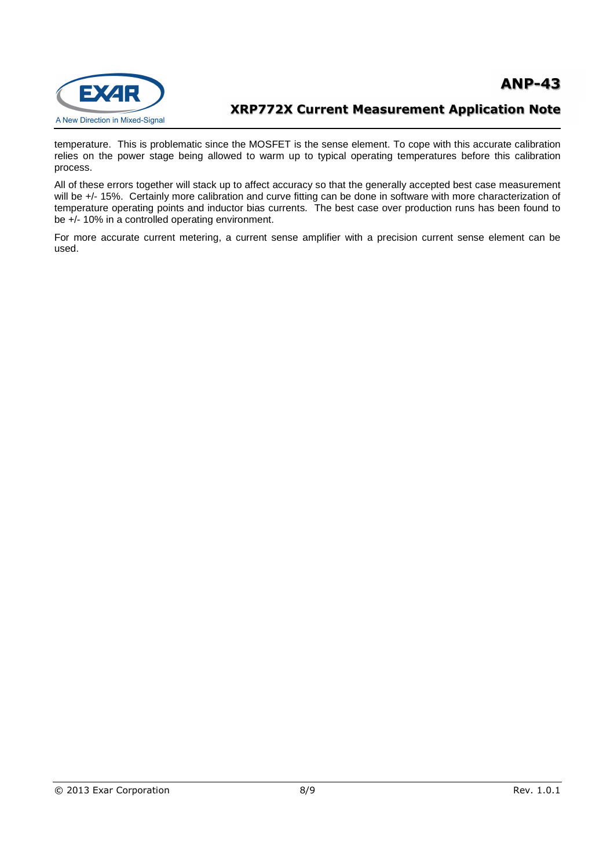

temperature. This is problematic since the MOSFET is the sense element. To cope with this accurate calibration relies on the power stage being allowed to warm up to typical operating temperatures before this calibration process.

All of these errors together will stack up to affect accuracy so that the generally accepted best case measurement will be +/- 15%. Certainly more calibration and curve fitting can be done in software with more characterization of temperature operating points and inductor bias currents. The best case over production runs has been found to be +/- 10% in a controlled operating environment.

For more accurate current metering, a current sense amplifier with a precision current sense element can be used.